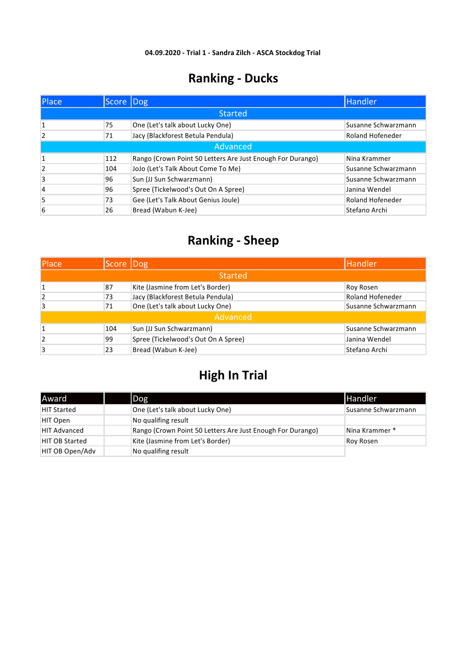| Place          | Score Dog |                                                            | Handler                 |  |  |
|----------------|-----------|------------------------------------------------------------|-------------------------|--|--|
|                |           | <b>Started</b>                                             |                         |  |  |
| 1              | 75        | One (Let's talk about Lucky One)                           | Susanne Schwarzmann     |  |  |
| $\overline{2}$ | 71        | Jacy (Blackforest Betula Pendula)                          | <b>Roland Hofeneder</b> |  |  |
|                | Advanced  |                                                            |                         |  |  |
|                | 112       | Rango (Crown Point 50 Letters Are Just Enough For Durango) | Nina Krammer            |  |  |
| $\overline{2}$ | 104       | JoJo (Let's Talk About Come To Me)                         | Susanne Schwarzmann     |  |  |
| 3              | 96        | Sun (JJ Sun Schwarzmann)                                   | Susanne Schwarzmann     |  |  |
| $\overline{4}$ | 96        | Spree (Tickelwood's Out On A Spree)                        | Janina Wendel           |  |  |
| 5              | 73        | Gee (Let's Talk About Genius Joule)                        | <b>Roland Hofeneder</b> |  |  |
| 6              | 26        | Bread (Wabun K-Jee)                                        | Stefano Archi           |  |  |

### **Ranking - Sheep**

| Place | Score Dog |                                     | Handler             |
|-------|-----------|-------------------------------------|---------------------|
|       |           | <b>Started</b>                      |                     |
|       | 87        | Kite (Jasmine from Let's Border)    | Roy Rosen           |
| 2     | 73        | Jacy (Blackforest Betula Pendula)   | Roland Hofeneder    |
| 3     | 71        | One (Let's talk about Lucky One)    | Susanne Schwarzmann |
|       |           | Advanced                            |                     |
|       | 104       | Sun (JJ Sun Schwarzmann)            | Susanne Schwarzmann |
| 2     | 99        | Spree (Tickelwood's Out On A Spree) | Janina Wendel       |
| 3     | 23        | Bread (Wabun K-Jee)                 | Stefano Archi       |

| <b>Award</b>        | Dog                                                        | <b>Handler</b>      |
|---------------------|------------------------------------------------------------|---------------------|
| <b>HIT Started</b>  | One (Let's talk about Lucky One)                           | Susanne Schwarzmann |
| HIT Open            | No qualifing result                                        |                     |
| <b>HIT Advanced</b> | Rango (Crown Point 50 Letters Are Just Enough For Durango) | Nina Krammer *      |
| HIT OB Started      | Kite (Jasmine from Let's Border)                           | Roy Rosen           |
| HIT OB Open/Adv     | No qualifing result                                        |                     |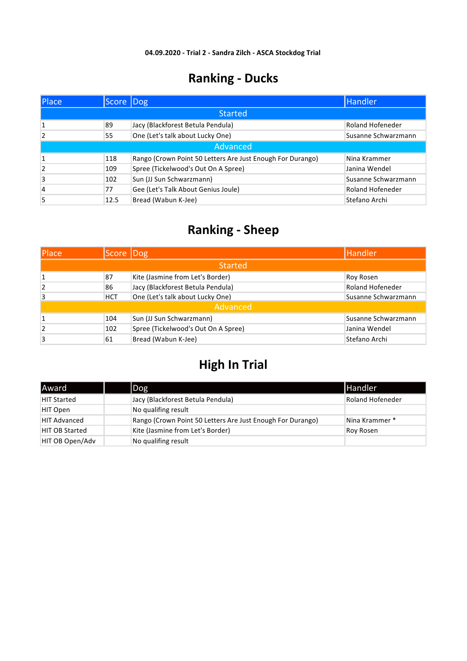| Place          | Score Dog |                                                            | Handler             |
|----------------|-----------|------------------------------------------------------------|---------------------|
|                |           | <b>Started</b>                                             |                     |
|                | 89        | Jacy (Blackforest Betula Pendula)                          | Roland Hofeneder    |
| 2              | 55        | One (Let's talk about Lucky One)                           | Susanne Schwarzmann |
|                |           | Advanced                                                   |                     |
| $\mathbf{1}$   | 118       | Rango (Crown Point 50 Letters Are Just Enough For Durango) | Nina Krammer        |
| $\overline{2}$ | 109       | Spree (Tickelwood's Out On A Spree)                        | Janina Wendel       |
| 3              | 102       | Sun (JJ Sun Schwarzmann)                                   | Susanne Schwarzmann |
| 4              | 77        | Gee (Let's Talk About Genius Joule)                        | Roland Hofeneder    |
| 5              | 12.5      | Bread (Wabun K-Jee)                                        | Stefano Archi       |

#### **Ranking - Sheep**

| Place          | Score Dog  |                                     | <b>Handler</b>          |
|----------------|------------|-------------------------------------|-------------------------|
|                |            | <b>Started</b>                      |                         |
|                | 87         | Kite (Jasmine from Let's Border)    | Roy Rosen               |
| $\overline{2}$ | 86         | Jacy (Blackforest Betula Pendula)   | <b>Roland Hofeneder</b> |
| 3              | <b>HCT</b> | One (Let's talk about Lucky One)    | Susanne Schwarzmann     |
|                |            | Advanced                            |                         |
|                | 104        | Sun (JJ Sun Schwarzmann)            | Susanne Schwarzmann     |
| 2              | 102        | Spree (Tickelwood's Out On A Spree) | Janina Wendel           |
| 3              | 61         | Bread (Wabun K-Jee)                 | Stefano Archi           |

| Award                 | Dog                                                        | <b>Handler</b>          |
|-----------------------|------------------------------------------------------------|-------------------------|
| <b>HIT Started</b>    | Jacy (Blackforest Betula Pendula)                          | <b>Roland Hofeneder</b> |
| HIT Open              | No qualifing result                                        |                         |
| <b>HIT Advanced</b>   | Rango (Crown Point 50 Letters Are Just Enough For Durango) | Nina Krammer *          |
| <b>HIT OB Started</b> | Kite (Jasmine from Let's Border)                           | Roy Rosen               |
| HIT OB Open/Adv       | No qualifing result                                        |                         |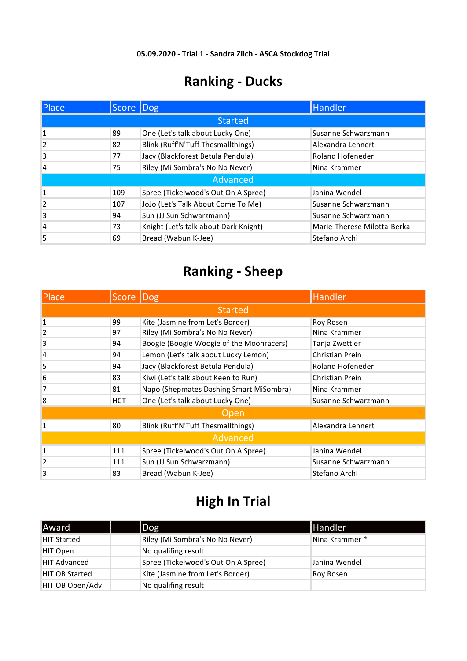| <b>Place</b>   | Score Dog      |                                       | Handler                     |  |  |  |  |
|----------------|----------------|---------------------------------------|-----------------------------|--|--|--|--|
|                | <b>Started</b> |                                       |                             |  |  |  |  |
|                | 89             | One (Let's talk about Lucky One)      | Susanne Schwarzmann         |  |  |  |  |
| $\overline{2}$ | 82             | Blink (Ruff'N'Tuff Thesmallthings)    | Alexandra Lehnert           |  |  |  |  |
| 3              | 77             | Jacy (Blackforest Betula Pendula)     | <b>Roland Hofeneder</b>     |  |  |  |  |
| $\overline{4}$ | 75             | Riley (Mi Sombra's No No Never)       | Nina Krammer                |  |  |  |  |
|                |                | Advanced                              |                             |  |  |  |  |
| $\mathbf{1}$   | 109            | Spree (Tickelwood's Out On A Spree)   | Janina Wendel               |  |  |  |  |
| $\overline{2}$ | 107            | JoJo (Let's Talk About Come To Me)    | Susanne Schwarzmann         |  |  |  |  |
| 3              | 94             | Sun (JJ Sun Schwarzmann)              | Susanne Schwarzmann         |  |  |  |  |
| $\overline{4}$ | 73             | Knight (Let's talk about Dark Knight) | Marie-Therese Milotta-Berka |  |  |  |  |
| 5              | 69             | Bread (Wabun K-Jee)                   | Stefano Archi               |  |  |  |  |

# **Ranking - Sheep**

| <b>Place</b> | Score      | Dog                                      | Handler             |  |  |
|--------------|------------|------------------------------------------|---------------------|--|--|
|              |            | <b>Started</b>                           |                     |  |  |
| $\mathbf{1}$ | 99         | Kite (Jasmine from Let's Border)         | Roy Rosen           |  |  |
| 2            | 97         | Riley (Mi Sombra's No No Never)          | Nina Krammer        |  |  |
| 3            | 94         | Boogie (Boogie Woogie of the Moonracers) | Tanja Zwettler      |  |  |
| 4            | 94         | Lemon (Let's talk about Lucky Lemon)     | Christian Prein     |  |  |
| 5            | 94         | Jacy (Blackforest Betula Pendula)        | Roland Hofeneder    |  |  |
| 6            | 83         | Kiwi (Let's talk about Keen to Run)      | Christian Prein     |  |  |
| 7            | 81         | Napo (Shepmates Dashing Smart MiSombra)  | Nina Krammer        |  |  |
| 8            | <b>HCT</b> | One (Let's talk about Lucky One)         | Susanne Schwarzmann |  |  |
|              |            | Open                                     |                     |  |  |
| $\mathbf{1}$ | 80         | Blink (Ruff'N'Tuff Thesmallthings)       | Alexandra Lehnert   |  |  |
|              | Advanced   |                                          |                     |  |  |
| $\mathbf{1}$ | 111        | Spree (Tickelwood's Out On A Spree)      | Janina Wendel       |  |  |
| 2            | 111        | Sun (JJ Sun Schwarzmann)                 | Susanne Schwarzmann |  |  |
| 3            | 83         | Bread (Wabun K-Jee)                      | Stefano Archi       |  |  |

| Award <sup>'</sup>    | Dog                                 | <b>Handler</b> |
|-----------------------|-------------------------------------|----------------|
| <b>HIT Started</b>    | Riley (Mi Sombra's No No Never)     | Nina Krammer * |
| HIT Open              | No qualifing result                 |                |
| <b>HIT Advanced</b>   | Spree (Tickelwood's Out On A Spree) | Janina Wendel  |
| <b>HIT OB Started</b> | Kite (Jasmine from Let's Border)    | Roy Rosen      |
| HIT OB Open/Adv       | No qualifing result                 |                |